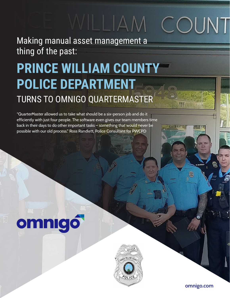# MILIAM COUNT

### Making manual asset management a thing of the past:

## **PRINCE WILLIAM COUNTY POLICE DEPARTMENT** TURNS TO OMNIGO QUARTERMASTER

"QuarterMaster allowed us to take what should be a six-person job and do it efficiently with just four people. The software even gives our team members time back in their days to do other important tasks – something that would never be possible with our old process." Ross Randlett, Police Consultant for PWCPD

# omnigó



**omnigo.com**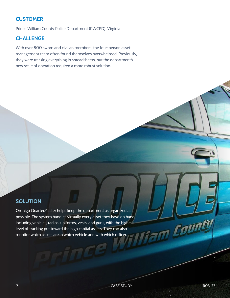#### **CUSTOMER**

Prince William County Police Department (PWCPD), Virginia

#### **CHALLENGE**

With over 800 sworn and civilian members, the four-person asset management team often found themselves overwhelmed. Previously, they were tracking everything in spreadsheets, but the department's new scale of operation required a more robust solution.

#### **SOLUTION**

Omnigo QuarterMaster helps keep the department as organized as possible. The system handles virtually every asset they have on hand, including vehicles, radios, uniforms, vests, and guns, with the highest level of tracking put toward the high capital assets. They can also monitor which assets are in which vehicle and with which officer.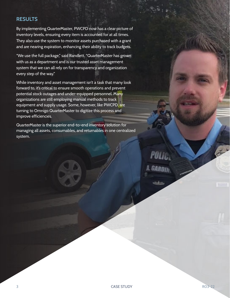#### **RESULTS**

By implementing QuarterMaster, PWCPD now has a clear picture of inventory levels, ensuring every item is accounted for at all times. They also use the system to monitor assets purchased with a grant and are nearing expiration, enhancing their ability to track budgets.

"We use the full package," said Randlett. "QuarterMaster has grown with us as a department and is our trusted asset management system that we can all rely on for transparency and organization every step of the way."

While inventory and asset management isn't a task that many look forward to, it's critical to ensure smooth operations and prevent potential stock outages and under-equipped personnel. Many organizations are still employing manual methods to track equipment and supply usage. Some, however, like PWCPD, are turning to Omnigo QuarterMaster to digitize this process and improve efficiencies.

QuarterMaster is the superior end-to-end inventory solution for managing all assets, consumables, and returnables in one centralized system.

> **POLIC, ARDIN**